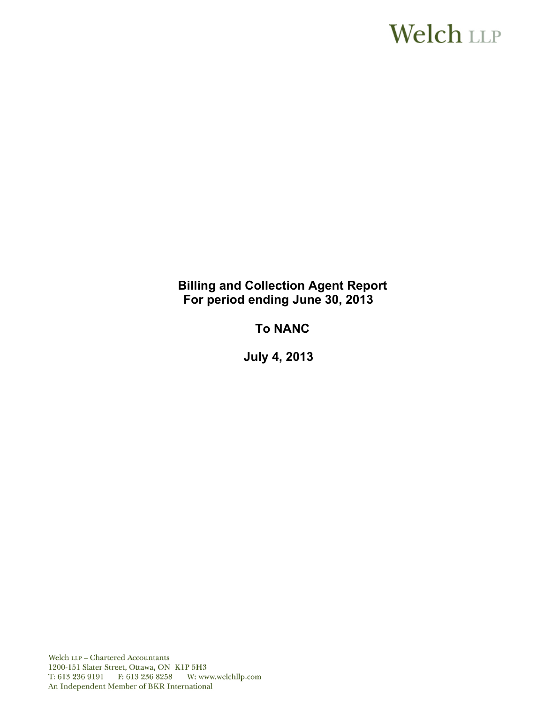# **Welch LLP**

# **Billing and Collection Agent Report For period ending June 30, 2013**

# **To NANC**

 **July 4, 2013** 

Welch LLP - Chartered Accountants 1200-151 Slater Street, Ottawa, ON K1P 5H3 T: 613 236 9191 F: 613 236 8258 W: www.welchllp.com An Independent Member of BKR International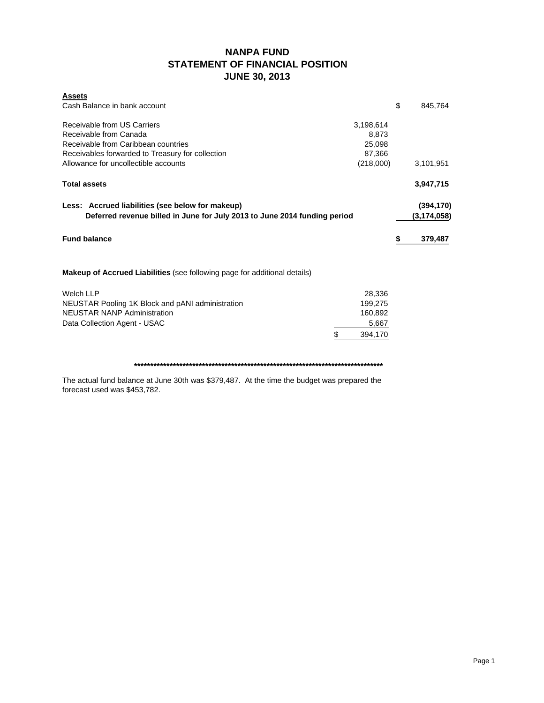# **NANPA FUND STATEMENT OF FINANCIAL POSITION JUNE 30, 2013**

| <b>Assets</b><br>Cash Balance in bank account                                                                                                    |                                        | \$ | 845,764                     |
|--------------------------------------------------------------------------------------------------------------------------------------------------|----------------------------------------|----|-----------------------------|
| Receivable from US Carriers<br>Receivable from Canada<br>Receivable from Caribbean countries<br>Receivables forwarded to Treasury for collection | 3,198,614<br>8,873<br>25,098<br>87,366 |    |                             |
| Allowance for uncollectible accounts                                                                                                             | (218,000)                              |    | 3,101,951                   |
| <b>Total assets</b>                                                                                                                              |                                        |    | 3,947,715                   |
| Less: Accrued liabilities (see below for makeup)<br>Deferred revenue billed in June for July 2013 to June 2014 funding period                    |                                        |    | (394, 170)<br>(3, 174, 058) |
| <b>Fund balance</b>                                                                                                                              |                                        | S  | 379,487                     |
| <b>Makeup of Accrued Liabilities</b> (see following page for additional details)                                                                 |                                        |    |                             |
|                                                                                                                                                  |                                        |    |                             |
| <b>Welch LLP</b>                                                                                                                                 | 28,336                                 |    |                             |
| NEUSTAR Pooling 1K Block and pANI administration                                                                                                 | 199,275                                |    |                             |
| <b>NEUSTAR NANP Administration</b>                                                                                                               | 160,892                                |    |                             |
| Data Collection Agent - USAC                                                                                                                     | 5,667                                  |    |                             |
|                                                                                                                                                  | \$<br>394,170                          |    |                             |

The actual fund balance at June 30th was \$379,487. At the time the budget was prepared the forecast used was \$453,782.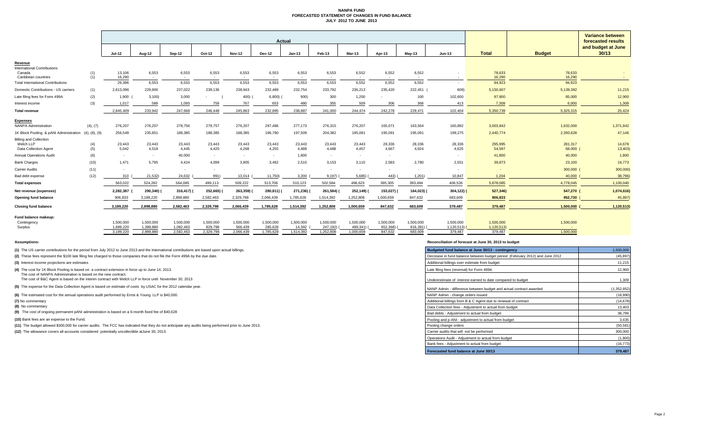### **NANPA FUND FORECASTED STATEMENT OF CHANGES IN FUND BALANCE JULY 2012 TO JUNE 2013**

|                                                                     |               | Actual                 |                        |                        |                      |                      |                      |                     |                       |                       |                          |                       | <b>Variance between</b><br>forecasted results |                         |                                |                             |
|---------------------------------------------------------------------|---------------|------------------------|------------------------|------------------------|----------------------|----------------------|----------------------|---------------------|-----------------------|-----------------------|--------------------------|-----------------------|-----------------------------------------------|-------------------------|--------------------------------|-----------------------------|
|                                                                     |               | $Jul-12$               | Aug-12                 | Sep-12                 | Oct-12               | <b>Nov-12</b>        | <b>Dec-12</b>        | $Jan-13$            | Feb-13                | Mar-13                | Apr-13                   | <b>May-13</b>         | <b>Jun-13</b>                                 | <b>Total</b>            | <b>Budget</b>                  | and budget at June<br>30/13 |
| Revenue<br><b>International Contributions</b><br>Canada             | (1)           | 13,106                 | 6,553                  | 6,553                  | 6,553                | 6,553                | 6,553                | 6,553               | 6,553                 | 6,552                 | 6,552                    | 6,552                 |                                               | 78,633                  | 78,633                         |                             |
| Caribbean countries                                                 | (1)           | 16,290                 | $\sim$                 | $\sim$                 | $\sim$               | $\sim$               | $\sim$               | $\sim$              | $\sim$                | $\sim$                | $\sim$                   | $\sim$                |                                               | 16,290                  | 16,290                         | $\sim$ $-$                  |
| <b>Total International Contributions</b>                            |               | 29,396                 | 6,553                  | 6,553                  | 6,553                | 6,553                | 6,553                | 6,553               | 6,553                 | 6,552                 | 6,552                    | 6,552                 |                                               | 94,923                  | 94,923                         |                             |
| Domestic Contributions - US carriers                                | (1)           | 2,813,096              | 229,900                | 237,022                | 239,136              | 238,943              | 232.489              | 232,754             | 233,792               | 236,213               | 235,420                  | 222,451               | 609)                                          | 5,150,607               | 5,139,392                      | 11,215                      |
| Late filing fees for Form 499A                                      | (2)           | 1.900                  | 3,100                  | 3,000                  |                      | 400(                 | 6,800                | 900)                | 300                   | 1,200                 | $\sim$                   | 100                   | 102,600                                       | 97,900                  | 85,000                         | 12,900                      |
| Interest income                                                     | (3)           | 1,017                  | 589                    | 1,093                  | 759                  | 767                  | 653                  | 480                 | 355                   | 509                   | 306                      | 368                   | 413                                           | 7,309                   | 6,000                          | 1,309                       |
| <b>Total revenue</b>                                                |               | 2,845,409              | 233,942                | 247,668                | 246,448              | 245,863              | 232,895              | 238,887             | 241,000               | 244,474               | 242,278                  | 229,471               | 102,404                                       | 5,350,739               | 5,325,315                      | 25,424                      |
| <b>Expenses</b><br><b>NANPA Administration</b>                      | (4), (7)      | 276,207                | 276,207                | 278,756                | 279,757              | 276,207              | 297.486              | 277,173             | 276,315               | 276,207               | 165,071                  | 163,564               | 160,892                                       | 3,003,842               | 1,632,000                      | 1,371,842                   |
| 1K Block Pooling & pANI Administration                              | (4), (8), (9) | 256,549                | 235,851                | 188,385                | 188,385              | 188,385              | 196,780              | 197,509             | 204,382               | 195,091               | 195,091                  | 195,091               | 199,275                                       | 2,440,774               | 2,393,628                      | 47,146                      |
| <b>Billing and Collection</b><br>Welch LLP<br>Data Collection Agent | (4)<br>(5)    | 23,443<br>5,042        | 23,443<br>4,518        | 23,443<br>4,445        | 23,443<br>4,420      | 23,443<br>4,268      | 23,443<br>4,255      | 23,443<br>4,488     | 23,443<br>4,488       | 23,443<br>4,457       | 28,336<br>4,667          | 28,336<br>4,924       | 28,336<br>4,625                               | 295,995<br>54,597       | 281,317<br>68,000 (            | 14,678<br>13,403)           |
| <b>Annual Operations Audit</b>                                      | (6)           | $\sim$                 | $\sim$                 | 40,000                 | $\sim$               |                      | $\sim$               | 1,800               | $\sim$                | $\sim$                | $\overline{\phantom{a}}$ |                       |                                               | 41,800                  | 40,000                         | 1,800                       |
| <b>Bank Charges</b>                                                 | (10)          | 1,471                  | 5,795                  | 4,424                  | 4,099                | 3,905                | 3,492                | 2,510               | 3,153                 | 3,110                 | 2,583                    | 2,780                 | 2,551                                         | 39,873                  | 23,100                         | 16,773                      |
| <b>Carrier Audits</b>                                               | (11)          | $\sim$                 |                        |                        | $\sim$               |                      | $\sim$               |                     | $\sim$                | ٠                     |                          | $\sim$                |                                               |                         | 300,000 (                      | 300,000                     |
| Bad debt expense                                                    | (12)          | 310                    | 21,532)                | 24,632                 | 991)                 | 13,014               | 11,750)              | 3,200               | 9,197)                | 5,685)                | 443)                     | 1,201                 | 10,847                                        | 1,204                   | 40,000                         | 38,796                      |
| <b>Total expenses</b>                                               |               | 563,022                | 524,282                | 564,085                | 499,113              | 509,222              | 513,706              | 510,123             | 502,584               | 496,623               | 395,305                  | 393,494               | 406,526                                       | 5,878,085               | 4,778,045                      | 1,100,040                   |
| Net revenue (expenses)                                              |               | 2,282,387              | 290,340)               | 316,417)               | 252,665)             | 263,359)             | 280,811)             | 271,236)            | 261,584)              | 252,149)              | 153,027)                 | 164,023)              | $304, 122$ )                                  | 527,346)                | 547,270 (                      | 1,074,616)                  |
| Opening fund balance                                                |               | 906,833                | 3,189,220              | 2,898,880              | 2,582,463            | 2,329,798            | 2,066,439            | 1,785,628           | 1,514,392             | 1,252,808             | 1,000,659                | 847,632               | 683,609                                       | 906,833                 | 952,730                        | 45,897                      |
| <b>Closing fund balance</b>                                         |               | 3,189,220              | 2,898,880              | 2,582,463              | 2,329,798            | 2,066,439            | 1,785,628            | 1,514,392           | 1,252,808             | 1,000,659             | 847,632                  | 683,609               | 379,487                                       | 379,487                 | 1,500,000                      | 1,120,513                   |
| Fund balance makeup:<br>Contingency<br>Surplus                      |               | 1,500,000<br>1,689,220 | 1,500,000<br>1,398,880 | 1,500,000<br>1,082,463 | 1,500,000<br>829,798 | 1,500,000<br>566,439 | 1,500,000<br>285,628 | 1,500,000<br>14,392 | 1,500,000<br>247,192) | 1,500,000<br>499,341) | 1,500,000<br>652,368)    | 1,500,000<br>816,391) | 1,500,000<br>1,120,513                        | 1,500,000<br>1,120,513) | 1,500,000<br><b>CONTRACTOR</b> |                             |
|                                                                     |               | 3,189,220              | 2.898.880              | 2.582.463              | 2,329,798            | 2.066.439            | 1,785,628            | 1,514,392           | 1,252,808             | 1.000.659             | 847.632                  | 683.609               | 379.487                                       | 379,487                 | 1.500.000                      |                             |

**(8)** No commentary

#### **Assumptions: Reconciliation of forecast at June 30, 2013 to budget**

| (1) The US carrier contributions for the period from July 2012 to June 2013 and the International contributions are based upon actual billings.                    | Budgeted fund balance at June 30/13 - contingency                            | 1,500,000   |
|--------------------------------------------------------------------------------------------------------------------------------------------------------------------|------------------------------------------------------------------------------|-------------|
| (2) These fees represent the \$100 late filing fee charged to those companies that do not file the Form 499A by the due date.                                      | Decrease in fund balance between budget period (February 2012) and June 2012 | (45, 897)   |
| (3) Interest income projections are estimates                                                                                                                      | Additional billings over estimate from budget                                | 11,215      |
| (4) The cost for 1K Block Pooling is based on a contract extension in force up to June 14, 2013.<br>The cost of NANPA Administration is based on the new contract. | Late filing fees (reversal) for Form 499A                                    | 12,900      |
| The cost of B&C Agent is based on the interim contract with Welch LLP in force until November 30, 2013                                                             | Underestimate of interest earned to date compared to budget                  | 1,309       |
| (5) The expense for the Data Collection Agent is based on estimate of costs by USAC for the 2012 calendar year.                                                    | NANP Admin - difference between budget and actual contract awarded           | (1.352.852) |
| (6) The estimated cost for the annual operations audit performed by Ernst & Young LLP is \$40,000.                                                                 | NANP Admin - change orders issued                                            | (18,990)    |
| (7) No commentary                                                                                                                                                  | Additional billings from B & C Agent due to renewal of contract              | (14, 678)   |
| (8) No commentary                                                                                                                                                  | Data Collection fees - Adiustment to actual from budget                      | 13,403      |
| (9) The cost of ongoing permanent pANI administration is based on a 6-month fixed fee of \$40,628                                                                  | Bad debts - Adjustment to actual from budget                                 | 38,796      |
| (10) Bank fees are an expense to the Fund.                                                                                                                         | Pooling and p-ANI - adjustment to actual from budget                         | 3,435       |
| (11) The budget allowed \$300,000 for carrier audits. The FCC has indicated that they do not anticipate any audits being performed prior to June 2013.             | Pooling change orders                                                        | (50, 581)   |
| (12) The allowance covers all accounts considered potentially uncollectible at June 30, 2013.                                                                      | Carrier audits that will not be performed                                    | 300,000     |
|                                                                                                                                                                    | Operations Audit - Adiustment to actual from budget                          | (1,800)     |
|                                                                                                                                                                    | Bank fees - Adjustment to actual from budget                                 | (16, 773)   |
|                                                                                                                                                                    | Forecasted fund balance at June 30/13                                        | 379,487     |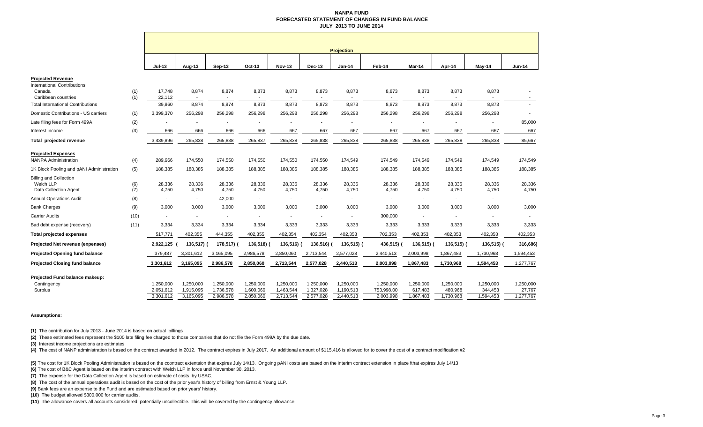### **NANPA FUND FORECASTED STATEMENT OF CHANGES IN FUND BALANCE JULY 2013 TO JUNE 2014**

|                                          |            |                          |                 |            |            |                |           | <b>Projection</b>        |                 |            |            |            |                          |
|------------------------------------------|------------|--------------------------|-----------------|------------|------------|----------------|-----------|--------------------------|-----------------|------------|------------|------------|--------------------------|
|                                          |            | <b>Jul-13</b>            | Aug-13          | Sep-13     | Oct-13     | <b>Nov-13</b>  | Dec-13    | <b>Jan-14</b>            | Feb-14          | Mar-14     | Apr-14     | May-14     | <b>Jun-14</b>            |
| <b>Projected Revenue</b>                 |            |                          |                 |            |            |                |           |                          |                 |            |            |            |                          |
| International Contributions              |            |                          |                 |            |            |                |           |                          |                 |            |            |            |                          |
| Canada<br>Caribbean countries            | (1)<br>(1) | 17,748<br>22,112         | 8,874<br>$\sim$ | 8,874      | 8,873      | 8,873          | 8,873     | 8,873<br>$\sim$          | 8,873<br>$\sim$ | 8,873      | 8,873      | 8,873      | $\overline{\phantom{a}}$ |
| <b>Total International Contributions</b> |            | 39,860                   | 8,874           | 8,874      | 8,873      | 8,873          | 8,873     | 8,873                    | 8,873           | 8,873      | 8,873      | 8,873      |                          |
| Domestic Contributions - US carriers     | (1)        | 3,399,370                | 256,298         | 256,298    | 256,298    | 256,298        | 256,298   | 256,298                  | 256,298         | 256,298    | 256,298    | 256,298    | $\blacksquare$           |
| Late filing fees for Form 499A           | (2)        |                          |                 |            |            |                |           |                          |                 |            |            |            | 85,000                   |
| Interest income                          | (3)        | 666                      | 666             | 666        | 666        | 667            | 667       | 667                      | 667             | 667        | 667        | 667        | 667                      |
| <b>Total projected revenue</b>           |            | 3,439,896                | 265,838         | 265,838    | 265,837    | 265,838        | 265,838   | 265,838                  | 265,838         | 265,838    | 265,838    | 265,838    | 85,667                   |
| <b>Projected Expenses</b>                |            |                          |                 |            |            |                |           |                          |                 |            |            |            |                          |
| <b>NANPA Administration</b>              | (4)        | 289.966                  | 174,550         | 174,550    | 174,550    | 174,550        | 174,550   | 174,549                  | 174,549         | 174,549    | 174,549    | 174,549    | 174,549                  |
| 1K Block Pooling and pANI Administration | (5)        | 188,385                  | 188,385         | 188,385    | 188,385    | 188,385        | 188,385   | 188,385                  | 188,385         | 188,385    | 188,385    | 188,385    | 188,385                  |
| <b>Billing and Collection</b>            |            |                          |                 |            |            |                |           |                          |                 |            |            |            |                          |
| Welch LLP                                | (6)        | 28,336                   | 28,336          | 28,336     | 28,336     | 28,336         | 28,336    | 28,336                   | 28,336          | 28,336     | 28,336     | 28,336     | 28,336                   |
| Data Collection Agent                    | (7)        | 4,750                    | 4,750           | 4,750      | 4,750      | 4,750          | 4,750     | 4,750                    | 4,750           | 4,750      | 4,750      | 4,750      | 4,750                    |
| <b>Annual Operations Audit</b>           | (8)        | $\overline{\phantom{a}}$ | ٠               | 42,000     |            | $\blacksquare$ | $\sim$    | $\overline{\phantom{a}}$ |                 |            |            |            |                          |
| <b>Bank Charges</b>                      | (9)        | 3,000                    | 3,000           | 3,000      | 3,000      | 3,000          | 3,000     | 3,000                    | 3,000           | 3,000      | 3,000      | 3,000      | 3,000                    |
| <b>Carrier Audits</b>                    | (10)       |                          |                 | ٠          |            |                |           | ٠                        | 300,000         |            |            |            |                          |
| Bad debt expense (recovery)              | (11)       | 3,334                    | 3,334           | 3,334      | 3,334      | 3,333          | 3,333     | 3,333                    | 3,333           | 3,333      | 3,333      | 3,333      | 3,333                    |
| <b>Total projected expenses</b>          |            | 517,771                  | 402,355         | 444,355    | 402,355    | 402,354        | 402,354   | 402,353                  | 702,353         | 402,353    | 402,353    | 402,353    | 402,353                  |
| Projected Net revenue (expenses)         |            | 2,922,125                | 136,517) (      | 178,517) ( | 136,518) ( | $136,516$ )    | 136,516)  | 136,515) (               | 436,515)        | 136,515) ( | 136,515) ( | 136,515) ( | 316,686)                 |
| <b>Projected Opening fund balance</b>    |            | 379,487                  | 3,301,612       | 3,165,095  | 2,986,578  | 2,850,060      | 2,713,544 | 2,577,028                | 2,440,513       | 2,003,998  | 1,867,483  | 1,730,968  | 1,594,453                |
| <b>Projected Closing fund balance</b>    |            | 3,301,612                | 3,165,095       | 2,986,578  | 2,850,060  | 2,713,544      | 2,577,028 | 2,440,513                | 2,003,998       | 1,867,483  | 1,730,968  | 1,594,453  | 1,277,767                |
| Projected Fund balance makeup:           |            |                          |                 |            |            |                |           |                          |                 |            |            |            |                          |
| Contingency                              |            | 1.250.000                | 1,250,000       | 1.250.000  | 1,250,000  | 1,250,000      | 1,250,000 | 1,250,000                | 1,250,000       | 1,250,000  | 1,250,000  | 1,250,000  | 1,250,000                |
| Surplus                                  |            | 2,051,612                | 1,915,095       | 1,736,578  | 1,600,060  | 1,463,544      | 1,327,028 | 1,190,513                | 753,998.00      | 617,483    | 480,968    | 344,453    | 27,767                   |
|                                          |            | 3,301,612                | 3,165,095       | 2,986,578  | 2,850,060  | 2,713,544      | 2,577,028 | 2,440,513                | 2,003,998       | 1,867,483  | 1,730,968  | 1,594,453  | 1,277,767                |

### **Assumptions:**

**(1)** The contribution for July 2013 - June 2014 is based on actual billings

**(2)** These estimated fees represent the \$100 late filing fee charged to those companies that do not file the Form 499A by the due date.

**(3)** Interest income projections are estimates

(4) The cost of NANP administration is based on the contract awarded in 2012. The contract expires in July 2017. An additional amount of \$115,416 is allowed for to cover the cost of a contract modification #2

**(5)** The cost for 1K Block Pooling Administration is based on the ccontract extentsion that expires July 14/13. Ongoing pANI costs are based on the interim contract extension in place fthat expires July 14/13

**(6)** The cost of B&C Agent is based on the interim contract with Welch LLP in force until November 30, 2013.

**(7)** The expense for the Data Collection Agent is based on estimate of costs by USAC.

**(8)** The cost of the annual operations audit is based on the cost of the prior year's history of billing from Ernst & Young LLP.

**(9)** Bank fees are an expense to the Fund and are estimated based on prior years' history.

**(10)** The budget allowed \$300,000 for carrier audits.

**(11)** The allowance covers all accounts considered potentially uncollectible. This will be covered by the contingency allowance.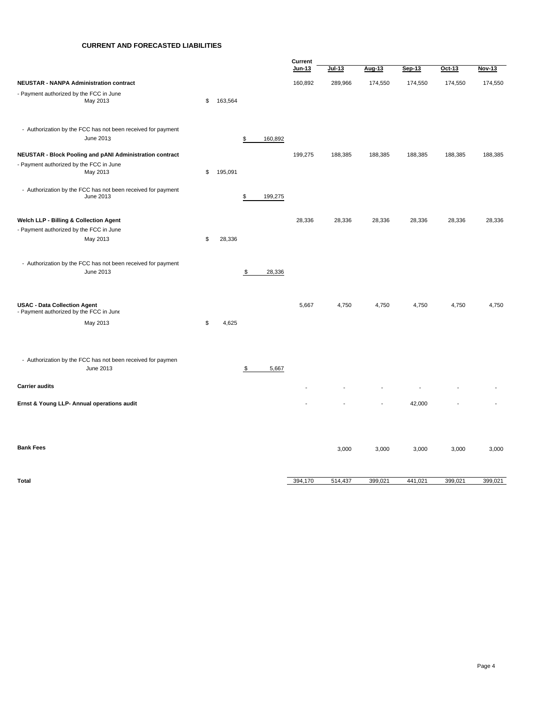# **CURRENT AND FORECASTED LIABILITIES**

|                                                                                |               |                         | Current |          |         |         |         |         |
|--------------------------------------------------------------------------------|---------------|-------------------------|---------|----------|---------|---------|---------|---------|
|                                                                                |               |                         | Jun-13  | $Jul-13$ | Aug-13  | Sep-13  | Oct-13  | Nov-13  |
| <b>NEUSTAR - NANPA Administration contract</b>                                 |               |                         | 160,892 | 289,966  | 174,550 | 174,550 | 174,550 | 174,550 |
| - Payment authorized by the FCC in June<br>May 2013                            | \$<br>163,564 |                         |         |          |         |         |         |         |
| - Authorization by the FCC has not been received for payment<br>June 2013      |               | \$<br>160,892           |         |          |         |         |         |         |
| <b>NEUSTAR - Block Pooling and pANI Administration contract</b>                |               |                         | 199,275 | 188,385  | 188,385 | 188,385 | 188,385 | 188,385 |
| - Payment authorized by the FCC in June<br>May 2013                            | \$<br>195,091 |                         |         |          |         |         |         |         |
| - Authorization by the FCC has not been received for payment<br>June 2013      |               | 199,275<br>\$           |         |          |         |         |         |         |
| Welch LLP - Billing & Collection Agent                                         |               |                         | 28,336  | 28,336   | 28,336  | 28,336  | 28,336  | 28,336  |
| - Payment authorized by the FCC in June                                        |               |                         |         |          |         |         |         |         |
| May 2013                                                                       | \$<br>28,336  |                         |         |          |         |         |         |         |
| - Authorization by the FCC has not been received for payment<br>June 2013      |               | $\frac{\$}{}$<br>28,336 |         |          |         |         |         |         |
| <b>USAC - Data Collection Agent</b><br>- Payment authorized by the FCC in June |               |                         | 5,667   | 4,750    | 4,750   | 4,750   | 4,750   | 4,750   |
| May 2013                                                                       | \$<br>4,625   |                         |         |          |         |         |         |         |
| - Authorization by the FCC has not been received for paymen<br>June 2013       |               | 5,667<br>\$             |         |          |         |         |         |         |
| <b>Carrier audits</b>                                                          |               |                         |         |          |         |         |         |         |
| Ernst & Young LLP- Annual operations audit                                     |               |                         |         |          |         | 42,000  |         |         |
|                                                                                |               |                         |         |          |         |         |         |         |
| <b>Bank Fees</b>                                                               |               |                         |         | 3,000    | 3,000   | 3,000   | 3,000   | 3,000   |
| <b>Total</b>                                                                   |               |                         | 394,170 | 514,437  | 399,021 | 441,021 | 399,021 | 399,021 |